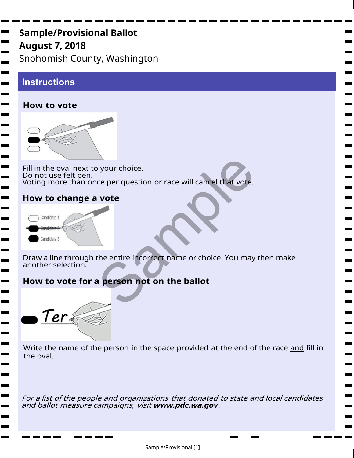# Sample/Provisional Ba**ll**ot August 7, 2018 Snohomish County, Washington

# **Instructions**

**The Second** 

<u>e a</u>

**Contract** 

**College** m.

**The Second** 

#### **How to vote**



Fill in the oval next to your choice. Do not use felt pen. Voting more than once per question or race will cancel that vote. Buyour choice.<br>
Ce per question or race will cancel that vote.<br>
Vote<br>
the entire incorrect name or choice. You may<br>
Reference to the ballot

### **How to change a vote**



Draw a line through the entire incorrect name or choice. You may then make another selection.

## How to vote for a person not on the ballot

Ter

Write the name of the person in the space provided at the end of the race and fill in the oval.

For a list of the people and organizations that donated to state and local candidates and ballot measure campaigns, visit **www.pdc.wa.gov**.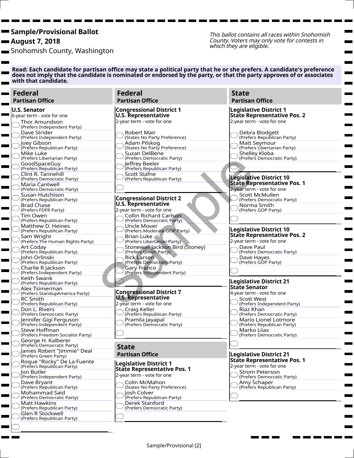August 7, 2018

п

п

**Contract** 

**College** 

Snohomish County, Washington

This ballot contains all races within Snohomish County. Voters may only vote for contests in which they are eligible.

m. m. e<br>B m.  $\blacksquare$ 

**Contract** 

٠

Read: Each candidate for partisan office may state a political party that he or she prefers. A candidate's prefer**e**nce ī does not imply that the candidate is nominated or endorsed by the party, or that the party approves of or associates with that candidate.

| <b>Federal</b><br><b>Partisan Office</b>                                          | <b>Federal</b><br><b>Partisan Office</b>                                                    | <b>State</b><br><b>Partisan Office</b>                                 |
|-----------------------------------------------------------------------------------|---------------------------------------------------------------------------------------------|------------------------------------------------------------------------|
| <b>U.S. Senator</b><br>6-year term - vote for one                                 | <b>Congressional District 1</b><br><b>U.S. Representative</b>                               | <b>Legislative District 1</b><br><b>State Representative Pos. 2</b>    |
| <b>Thor Amundson</b><br>(Prefers Independent Party)                               | 2-year term - vote for one                                                                  | 2-year term - vote for one                                             |
| Dave Strider<br>(Prefers Independent Party)                                       | Robert Mair<br>(States No Party Preference)                                                 | Debra Blodgett<br>(Prefers Republican Party)                           |
| Joey Gibson<br>(Prefers Republican Party)                                         | Adam Pilskog<br>(States No Party Preference)                                                | Matt Seymour<br>(Prefers Libertarian Party)                            |
| Mike Luke<br>(Prefers Libertarian Party)                                          | Suzan DelBene<br>(Prefers Democratic Party)                                                 | Shelley Kloba<br>(Prefers Democratic Party)                            |
| GoodSpaceGuy<br>(Prefers Republican Party)<br>Clint R. Tannehill                  | Jeffrey Beeler<br>(Prefers Republican Party)<br>Scott Stafne                                |                                                                        |
| (Prefers Democratic Party)<br>Maria Cantwell                                      | (Prefers Republican Party)                                                                  | <b>Legislative District 10</b><br><b>State Representative Pos. 1</b>   |
| (Prefers Democratic Party)<br>Susan Hutchison                                     |                                                                                             | 2-year term - vote for one<br>Scott McMullen                           |
| (Prefers Republican Party)<br><b>Brad Chase</b>                                   | <b>Congressional District 2</b><br><b>U.S. Representative</b><br>2-year term - vote for one | (Prefers Democratic Party)<br>Norma Smith                              |
| (Prefers FDFR Party)<br>Tim Owen<br>(Prefers Republican Party)                    | <b>Collin Richard Carlson</b><br>(Prefers Democratic Party)                                 | (Prefers GOP Party)                                                    |
| Matthew D. Heines<br>(Prefers Republican Party)                                   | Uncle Mover<br>(Prefers Moderate GOP Party)                                                 | <b>Legislative District 10</b>                                         |
| Sam Wright<br>(Prefers The Human Rights Party)                                    | Brian Luke<br>(Prefers Libertarian Party)                                                   | <b>State Representative Pos. 2</b><br>2-year term - vote for one       |
| Art Coday<br>(Prefers Republican Party)                                           | Stonewall Jackson Bird (Stoney)<br>(Prefers Green Party)                                    | Dave Paul<br>(Prefers Democratic Party)                                |
| Iohn Orlinski<br>(Prefers Republican Party)<br>Charlie R Jackson                  | Rick Larsen<br>(Prefers Democratic Party)<br><b>Gary Franco</b>                             | Dave Hayes<br>(Prefers GOP Party)                                      |
| (Prefers Independent Party)<br>Keith Swank                                        | (Prefers Independent Party)                                                                 |                                                                        |
| (Prefers Republican Party)<br>Alex Tsimerman                                      |                                                                                             | <b>Legislative District 21</b><br>State Senator                        |
| (Prefers StandupAmerica Party)<br><b>RC Smith</b>                                 | <b>Congressional District 7</b><br><b>U.S. Representative</b><br>2-year term - vote for one | 4-year term - vote for one<br><b>Scott West</b>                        |
| (Prefers Republican Party)<br>Don L. Rivers<br>(Prefers Democratic Party)         | Craig Keller<br>(Prefers Republican Party)                                                  | (Prefers Independent Party)<br>Riaz Khan<br>(Prefers Democratic Party) |
| Jennifer Gigi Ferguson<br>(Prefers Independent Party)                             | Pramila Jayapal<br>(Prefers Democratic Party)                                               | <b>Mario Lionel Lotmore</b><br>(Prefers Republican Party)              |
| Steve Hoffman<br>(Prefers Freedom Socialist Party)                                |                                                                                             | Marko Liias<br>(Prefers Democratic Party)                              |
| George H. Kalberer<br>(Prefers Democratic Party)                                  | <b>State</b>                                                                                |                                                                        |
| James Robert "Jimmie" Deal<br>(Prefers Green Party)<br>Roque "Rocky" De La Fuente | <b>Partisan Office</b>                                                                      | <b>Legislative District 21</b><br><b>State Representative Pos. 1</b>   |
| (Prefers Republican Party)<br>Jon Butler                                          | <b>Legislative District 1</b><br><b>State Representative Pos. 1</b>                         | 2-year term - vote for one<br><b>Strom Peterson</b>                    |
| (Prefers Independent Party)<br>Dave Bryant                                        | 2-year term - vote for one<br>Colin McMahon                                                 | (Prefers Democratic Party)<br>Amy Schaper                              |
| (Prefers Republican Party)<br>Mohammad Said                                       | (States No Party Preference)<br>Josh Colver                                                 | (Prefers Republican Party)                                             |
| (Prefers Democratic Party)<br><b>Matt Hawkins</b><br>(Prefers Republican Party)   | (Prefers Republican Party)<br><b>Derek Stanford</b><br>(Prefers Democratic Party)           |                                                                        |
| Glen R Stockwell<br>(Prefers Republican Party)                                    |                                                                                             |                                                                        |
|                                                                                   |                                                                                             |                                                                        |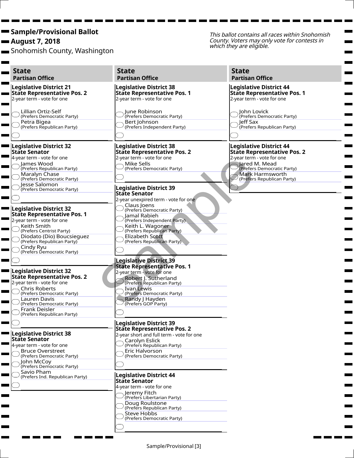August 7, 2018

Snohomish County, Washington

This ballot contains all races within Snohomish County. Voters may only vote for contests in which they are eligible.

m.  $\mathbf{r}$ 

Ħ. **Contract** 

| <b>State</b><br><b>Partisan Office</b>                                                                                                                                                                                                                                                                                                                                                                                                                                                                              | <b>State</b><br><b>Partisan Office</b>                                                                                                                                                                                                                                                                                                                                                                                                                                                                       | <b>State</b><br><b>Partisan Office</b>                                                                                                                                                                    |
|---------------------------------------------------------------------------------------------------------------------------------------------------------------------------------------------------------------------------------------------------------------------------------------------------------------------------------------------------------------------------------------------------------------------------------------------------------------------------------------------------------------------|--------------------------------------------------------------------------------------------------------------------------------------------------------------------------------------------------------------------------------------------------------------------------------------------------------------------------------------------------------------------------------------------------------------------------------------------------------------------------------------------------------------|-----------------------------------------------------------------------------------------------------------------------------------------------------------------------------------------------------------|
| <b>Legislative District 21</b><br><b>State Representative Pos. 2</b><br><b>The Co</b><br>2-year term - vote for one                                                                                                                                                                                                                                                                                                                                                                                                 | <b>Legislative District 38</b><br><b>State Representative Pos. 1</b><br>2-year term - vote for one                                                                                                                                                                                                                                                                                                                                                                                                           | <b>Legislative District 44</b><br><b>State Representative Pos. 1</b><br>2-year term - vote for one                                                                                                        |
| Lillian Ortiz-Self<br>(Prefers Democratic Party)<br>Petra Bigea                                                                                                                                                                                                                                                                                                                                                                                                                                                     | June Robinson<br>(Prefers Democratic Party)<br>Bert Johnson                                                                                                                                                                                                                                                                                                                                                                                                                                                  | John Lovick<br>(Prefers Democratic Party)<br>leff Sax                                                                                                                                                     |
| (Prefers Republican Party)                                                                                                                                                                                                                                                                                                                                                                                                                                                                                          | (Prefers Independent Party)                                                                                                                                                                                                                                                                                                                                                                                                                                                                                  | (Prefers Republican Party)                                                                                                                                                                                |
| <b>Legislative District 32</b><br><b>State Senator</b><br>4-year term - vote for one<br>James Wood<br>(Prefers Republican Party)<br>Maralyn Chase<br>(Prefers Democratic Party)                                                                                                                                                                                                                                                                                                                                     | <b>Legislative District 38</b><br><b>State Representative Pos. 2</b><br>2-year term - vote for one<br>Mike Sells<br>(Prefers Democratic Party)                                                                                                                                                                                                                                                                                                                                                               | <b>Legislative District 44</b><br><b>State Representative Pos. 2</b><br>2-year term - vote for one<br>Jared M. Mead<br>(Prefers Democratic Party)<br><b>Mark Harmsworth</b><br>(Prefers Republican Party) |
| Jesse Salomon<br>(Prefers Democratic Party)                                                                                                                                                                                                                                                                                                                                                                                                                                                                         | <b>Legislative District 39</b>                                                                                                                                                                                                                                                                                                                                                                                                                                                                               |                                                                                                                                                                                                           |
| <b>Legislative District 32</b><br><b>State Representative Pos. 1</b><br>2-year term - vote for one<br>Keith Smith<br>(Prefers Centrist Party)<br>Diodato (Dio) Boucsiequez<br>(Prefers Republican Party)<br>Cindy Ryu<br>(Prefers Democratic Party)<br><b>Legislative District 32</b><br><b>State Representative Pos. 2</b><br>2-year term - vote for one<br><b>Chris Roberts</b><br>(Prefers Democratic Party)<br>Lauren Davis<br>(Prefers Democratic Party)<br><b>Frank Deisler</b><br>(Prefers Republican Party) | <b>State Senator</b><br>2-year unexpired term - vote for one<br>Claus Joens<br>(Prefers Democratic Party)<br>Jamal Rabieh<br>(Prefers Independent Party)<br>Keith L. Wagoner<br>(Prefers Republican Party)<br>Elizabeth Scott<br>(Prefers Republican Party)<br><b>Legislative District 39</b><br><b>State Representative Pos. 1</b><br>2-year term - vote for one<br>Robert J. Sutherland<br>(Prefers Republican Party)<br>Ivan Lewis<br>(Prefers Democratic Party)<br>Randy   Hayden<br>(Prefers GOP Party) |                                                                                                                                                                                                           |
| <b>Legislative District 38</b><br><b>State Senator</b><br>4-year term - vote for one<br><b>Bruce Overstreet</b><br>(Prefers Democratic Party)<br>John McCoy<br>(Prefers Democratic Party)<br>Savio Pham<br>(Prefers Ind. Republican Party)                                                                                                                                                                                                                                                                          | lLegislative District 39<br><b>State Representative Pos. 2</b><br>2-year short and full term - vote for one<br>Carolyn Eslick<br>(Prefers Republican Party)<br>Eric Halvorson<br>(Prefers Democratic Party)<br><b>Legislative District 44</b><br><b>State Senator</b><br>4-year term - vote for one<br>Jeremy Fitch<br>(Prefers Libertarian Party)<br>Doug Roulstone<br>(Prefers Republican Party)<br><b>Steve Hobbs</b><br>(Prefers Democratic Party)                                                       |                                                                                                                                                                                                           |

۰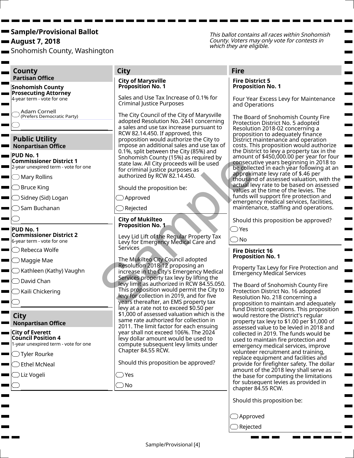August 7, 2018

 $\blacksquare$ 

Snohomish County, Washington

This ballot contains all races within Snohomish County. Voters may only vote for contests in which they are eligible.

 $\sim$  $\blacksquare$ 

Ξ

| County                                                                                                                                                                                                                                                                                                                                                                                                                                      | <b>City</b>                                                                                                                                                                                                                                                                                                                                                                                                                                                                                                                                                                                                                                                                                                                                                                                                                                                                            | <b>Fire</b>                                                                                                                                                                                                                                                                                                                                                                                                                                                                                                                                                                                                                                                                                                                                                                                                                                                                                                             |
|---------------------------------------------------------------------------------------------------------------------------------------------------------------------------------------------------------------------------------------------------------------------------------------------------------------------------------------------------------------------------------------------------------------------------------------------|----------------------------------------------------------------------------------------------------------------------------------------------------------------------------------------------------------------------------------------------------------------------------------------------------------------------------------------------------------------------------------------------------------------------------------------------------------------------------------------------------------------------------------------------------------------------------------------------------------------------------------------------------------------------------------------------------------------------------------------------------------------------------------------------------------------------------------------------------------------------------------------|-------------------------------------------------------------------------------------------------------------------------------------------------------------------------------------------------------------------------------------------------------------------------------------------------------------------------------------------------------------------------------------------------------------------------------------------------------------------------------------------------------------------------------------------------------------------------------------------------------------------------------------------------------------------------------------------------------------------------------------------------------------------------------------------------------------------------------------------------------------------------------------------------------------------------|
| <b>Partisan Office</b><br><b>Snohomish County</b>                                                                                                                                                                                                                                                                                                                                                                                           | <b>City of Marysville</b><br>Proposition No. 1                                                                                                                                                                                                                                                                                                                                                                                                                                                                                                                                                                                                                                                                                                                                                                                                                                         | <b>Fire District 5</b><br><b>Proposition No. 1</b>                                                                                                                                                                                                                                                                                                                                                                                                                                                                                                                                                                                                                                                                                                                                                                                                                                                                      |
| <b>Prosecuting Attorney</b><br>4-year term - vote for one                                                                                                                                                                                                                                                                                                                                                                                   | Sales and Use Tax Increase of 0.1% for<br>Criminal Justice Purposes                                                                                                                                                                                                                                                                                                                                                                                                                                                                                                                                                                                                                                                                                                                                                                                                                    | Four Year Excess Levy for Maintenance<br>and Operations                                                                                                                                                                                                                                                                                                                                                                                                                                                                                                                                                                                                                                                                                                                                                                                                                                                                 |
| Adam Cornell<br>(Prefers Democratic Party)                                                                                                                                                                                                                                                                                                                                                                                                  | The City Council of the City of Marysville<br>adopted Resolution No. 2441 concerning<br>a sales and use tax increase pursuant to                                                                                                                                                                                                                                                                                                                                                                                                                                                                                                                                                                                                                                                                                                                                                       | The Board of Snohomish County Fire<br>Protection District No. 5 adopted<br>Resolution 2018-02 concerning a                                                                                                                                                                                                                                                                                                                                                                                                                                                                                                                                                                                                                                                                                                                                                                                                              |
| <b>Public Utility</b><br><b>Nonpartisan Office</b>                                                                                                                                                                                                                                                                                                                                                                                          | RCW 82.14.450. If approved, this<br>proposition would authorize the City to<br>impose an additional sales and use tax of                                                                                                                                                                                                                                                                                                                                                                                                                                                                                                                                                                                                                                                                                                                                                               | proposition to adequately finance<br>District maintenance and operation<br>costs. This proposition would authorize                                                                                                                                                                                                                                                                                                                                                                                                                                                                                                                                                                                                                                                                                                                                                                                                      |
| $\blacksquare$ PUD No. 1<br><b>Commissioner District 1</b><br>2-year unexpired term - vote for one                                                                                                                                                                                                                                                                                                                                          | 0.1%, split between the City (85%) and<br>Snohomish County (15%) as required by<br>state law. All City proceeds will be used<br>for criminal justice purposes as                                                                                                                                                                                                                                                                                                                                                                                                                                                                                                                                                                                                                                                                                                                       | the District to levy a property tax in the<br>amount of \$450,000.00 per year for four<br>consecutive years beginning in 2018 to<br>be collected in each year following at an                                                                                                                                                                                                                                                                                                                                                                                                                                                                                                                                                                                                                                                                                                                                           |
| $\supset$ Mary Rollins                                                                                                                                                                                                                                                                                                                                                                                                                      | authorized by RCW 82.14.450.                                                                                                                                                                                                                                                                                                                                                                                                                                                                                                                                                                                                                                                                                                                                                                                                                                                           | approximate levy rate of \$.46 per<br>thousand of assessed valuation, with the                                                                                                                                                                                                                                                                                                                                                                                                                                                                                                                                                                                                                                                                                                                                                                                                                                          |
| $\supset$ Bruce King                                                                                                                                                                                                                                                                                                                                                                                                                        | Should the proposition be:                                                                                                                                                                                                                                                                                                                                                                                                                                                                                                                                                                                                                                                                                                                                                                                                                                                             | actual levy rate to be based on assessed<br>values at the time of the levies. The                                                                                                                                                                                                                                                                                                                                                                                                                                                                                                                                                                                                                                                                                                                                                                                                                                       |
| $\supset$ Sidney (Sid) Logan                                                                                                                                                                                                                                                                                                                                                                                                                | Approved                                                                                                                                                                                                                                                                                                                                                                                                                                                                                                                                                                                                                                                                                                                                                                                                                                                                               | funds will support fire protection and<br>emergency medical services, facilities,                                                                                                                                                                                                                                                                                                                                                                                                                                                                                                                                                                                                                                                                                                                                                                                                                                       |
| $\supset$ Sam Buchanan                                                                                                                                                                                                                                                                                                                                                                                                                      | Rejected                                                                                                                                                                                                                                                                                                                                                                                                                                                                                                                                                                                                                                                                                                                                                                                                                                                                               | maintenance, staffing and operations.                                                                                                                                                                                                                                                                                                                                                                                                                                                                                                                                                                                                                                                                                                                                                                                                                                                                                   |
|                                                                                                                                                                                                                                                                                                                                                                                                                                             | <b>City of Mukilteo</b>                                                                                                                                                                                                                                                                                                                                                                                                                                                                                                                                                                                                                                                                                                                                                                                                                                                                | Should this proposition be approved?                                                                                                                                                                                                                                                                                                                                                                                                                                                                                                                                                                                                                                                                                                                                                                                                                                                                                    |
| $=$ PUD No. 1<br><b>Commissioner District 2</b><br>6-year term - vote for one<br>$\supset$ Rebecca Wolfe<br>$\supset$ Maggie Mae<br>Kathleen (Kathy) Vaughn<br>David Chan<br>Kaili Chickering<br><b>City</b><br><b>Nonpartisan Office</b><br>$\blacksquare$ City of Everett<br><b>Council Position 4</b><br>$\blacksquare$ 1-year unexpired term - vote for one<br>$\supset$ Tyler Rourke<br>$\supset$ Ethel McNeal<br>$\supset$ Liz Vogeli | <b>Proposition No. 1</b><br>Levy Lid Lift of the Regular Property Tax<br>Levy for Emergency Medical Care and<br><b>Services</b><br>The Mukilteo City Council adopted<br>Resolution 2018-12 proposing an<br>increase in the City's Emergency Medical<br>Services property tax levy by lifting the<br>levy limit as authorized in RCW 84.55.050.<br>This proposition would permit the City to<br>levy for collection in 2019, and for five<br>years thereafter, an EMS property tax<br>levy at a rate not to exceed \$0.50 per<br>\$1,000 of assessed valuation which is the<br>same rate authorized for collection in<br>2011. The limit factor for each ensuing<br>year shall not exceed 106%. The 2024<br>levy dollar amount would be used to<br>compute subsequent levy limits under<br>Chapter 84.55 RCW.<br>Should this proposition be approved?<br>$\supset$ Yes<br>$\bigcirc$ No | $\bigcirc$ Yes<br>$\bigcirc$ No<br><b>Fire District 16</b><br><b>Proposition No. 1</b><br>Property Tax Levy for Fire Protection and<br><b>Emergency Medical Services</b><br>The Board of Snohomish County Fire<br>Protection District No. 16 adopted<br>Resolution No. 218 concerning a<br>proposition to maintain and adequately<br>fund District operations. This proposition<br>would restore the District's regular<br>property tax levy to \$1.00 per \$1,000 of<br>assessed value to be levied in 2018 and<br>collected in 2019. The funds would be<br>used to maintain fire protection and<br>emergency medical services, improve<br>volunteer recruitment and training,<br>replace equipment and facilities and<br>provide for firefighter safety. The dollar<br>amount of the 2018 levy shall serve as<br>the base for computing the limitations<br>for subsequent levies as provided in<br>chapter 84.55 RCW. |
|                                                                                                                                                                                                                                                                                                                                                                                                                                             |                                                                                                                                                                                                                                                                                                                                                                                                                                                                                                                                                                                                                                                                                                                                                                                                                                                                                        | Should this proposition be:                                                                                                                                                                                                                                                                                                                                                                                                                                                                                                                                                                                                                                                                                                                                                                                                                                                                                             |
|                                                                                                                                                                                                                                                                                                                                                                                                                                             |                                                                                                                                                                                                                                                                                                                                                                                                                                                                                                                                                                                                                                                                                                                                                                                                                                                                                        | $\supset$ Approved                                                                                                                                                                                                                                                                                                                                                                                                                                                                                                                                                                                                                                                                                                                                                                                                                                                                                                      |

Rejected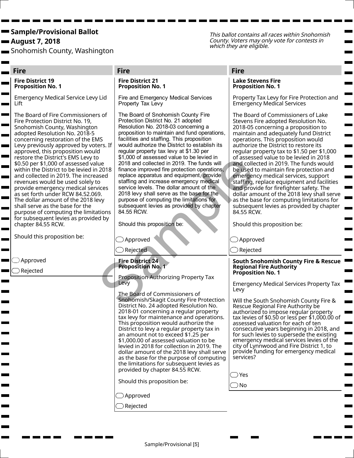August 7, 2018

 $\blacksquare$ 

Snohomish County, Washington

This ballot contains all races within Snohomish County. Voters may only vote for contests in which they are eligible.

m.  $\blacksquare$ 

and the

Ħ. **The Co** 

|                | <b>Fire</b>                                                                                                                                                                                                                                                                                                                                                                                                                                                                                                                                                                                                                                                                                                                                               | <b>Fire</b>                                                                                                                                                                                                                                                                                                                                                                                                                                                                                                                                                                                                                                                                                                                                                                          | <b>Fire</b>                                                                                                                                                                                                                                                                                                                                                                                                                                                                                                                                                                                                                                                                                                                                                     |
|----------------|-----------------------------------------------------------------------------------------------------------------------------------------------------------------------------------------------------------------------------------------------------------------------------------------------------------------------------------------------------------------------------------------------------------------------------------------------------------------------------------------------------------------------------------------------------------------------------------------------------------------------------------------------------------------------------------------------------------------------------------------------------------|--------------------------------------------------------------------------------------------------------------------------------------------------------------------------------------------------------------------------------------------------------------------------------------------------------------------------------------------------------------------------------------------------------------------------------------------------------------------------------------------------------------------------------------------------------------------------------------------------------------------------------------------------------------------------------------------------------------------------------------------------------------------------------------|-----------------------------------------------------------------------------------------------------------------------------------------------------------------------------------------------------------------------------------------------------------------------------------------------------------------------------------------------------------------------------------------------------------------------------------------------------------------------------------------------------------------------------------------------------------------------------------------------------------------------------------------------------------------------------------------------------------------------------------------------------------------|
|                | <b>Fire District 19</b><br><b>Proposition No. 1</b>                                                                                                                                                                                                                                                                                                                                                                                                                                                                                                                                                                                                                                                                                                       | <b>Fire District 21</b><br><b>Proposition No. 1</b>                                                                                                                                                                                                                                                                                                                                                                                                                                                                                                                                                                                                                                                                                                                                  | <b>Lake Stevens Fire</b><br><b>Proposition No. 1</b>                                                                                                                                                                                                                                                                                                                                                                                                                                                                                                                                                                                                                                                                                                            |
|                | <b>Emergency Medical Service Levy Lid</b><br>Lift                                                                                                                                                                                                                                                                                                                                                                                                                                                                                                                                                                                                                                                                                                         | Fire and Emergency Medical Services<br>Property Tax Levy                                                                                                                                                                                                                                                                                                                                                                                                                                                                                                                                                                                                                                                                                                                             | Property Tax Levy for Fire Protection and<br><b>Emergency Medical Services</b>                                                                                                                                                                                                                                                                                                                                                                                                                                                                                                                                                                                                                                                                                  |
| $\blacksquare$ | The Board of Fire Commissioners of<br>Fire Protection District No. 19,<br>Snohomish County, Washington<br>adopted Resolution No. 2018-5<br>concerning restoration of the EMS<br>Levy previously approved by voters. If<br>approved, this proposition would<br>restore the District's EMS Levy to<br>\$0.50 per \$1,000 of assessed value<br>within the District to be levied in 2018<br>and collected in 2019. The increased<br>revenues would be used solely to<br>provide emergency medical services<br>as set forth under RCW 84.52.069.<br>The dollar amount of the 2018 levy<br>shall serve as the base for the<br>purpose of computing the limitations<br>for subsequent levies as provided by<br>chapter 84.55 RCW.<br>Should this proposition be: | The Board of Snohomish County Fire<br>Protection District No. 21 adopted<br>Resolution No. 2018-03 concerning a<br>proposition to maintain and fund operations,<br>facilities and staffing. This proposition<br>would authorize the District to establish its<br>regular property tax levy at \$1.30 per<br>\$1,000 of assessed value to be levied in<br>2018 and collected in 2019. The funds will<br>finance improved fire protection operations,<br>replace apparatus and equipment, provide<br>staffing and increase emergency medical<br>service levels. The dollar amount of the<br>2018 levy shall serve as the base for the<br>purpose of computing the limitations for<br>subsequent levies as provided by chapter<br>84.55 RCW.<br>Should this proposition be:<br>Approved | The Board of Commissioners of Lake<br>Stevens Fire adopted Resolution No.<br>2018-05 concerning a proposition to<br>maintain and adequately fund District<br>operations. This proposition would<br>authorize the District to restore its<br>regular property tax to \$1.50 per \$1,000<br>of assessed value to be levied in 2018<br>and collected in 2019. The funds would<br>be used to maintain fire protection and<br>emergency medical services, support<br>staffing, replace equipment and facilities<br>and provide for firefighter safety. The<br>dollar amount of the 2018 levy shall serve<br>as the base for computing limitations for<br>subsequent levies as provided by chapter<br>84.55 RCW.<br>Should this proposition be:<br>$\supset$ Approved |
|                |                                                                                                                                                                                                                                                                                                                                                                                                                                                                                                                                                                                                                                                                                                                                                           | Rejected                                                                                                                                                                                                                                                                                                                                                                                                                                                                                                                                                                                                                                                                                                                                                                             | $\supset$ Rejected                                                                                                                                                                                                                                                                                                                                                                                                                                                                                                                                                                                                                                                                                                                                              |
|                | Approved<br>Rejected                                                                                                                                                                                                                                                                                                                                                                                                                                                                                                                                                                                                                                                                                                                                      | <b>Fire District 24</b><br><b>Proposition No. 1</b><br>Proposition Authorizing Property Tax<br>Levy                                                                                                                                                                                                                                                                                                                                                                                                                                                                                                                                                                                                                                                                                  | <b>South Snohomish County Fire &amp; Rescue</b><br><b>Regional Fire Authority</b><br><b>Proposition No. 1</b><br><b>Emergency Medical Services Property Tax</b>                                                                                                                                                                                                                                                                                                                                                                                                                                                                                                                                                                                                 |
|                |                                                                                                                                                                                                                                                                                                                                                                                                                                                                                                                                                                                                                                                                                                                                                           | The Board of Commissioners of<br>Snohomish/Skagit County Fire Protection<br>District No. 24 adopted Resolution No.<br>2018-01 concerning a regular property<br>tax levy for maintenance and operations.<br>This proposition would authorize the<br>District to levy a regular property tax in<br>an amount not to exceed \$1.25 per<br>\$1,000.00 of assessed valuation to be<br>levied in 2018 for collection in 2019. The<br>dollar amount of the 2018 levy shall serve<br>as the base for the purpose of computing<br>the limitations for subsequent levies as<br>provided by chapter 84.55 RCW.<br>Should this proposition be:                                                                                                                                                   | Levy<br>Will the South Snohomish County Fire &<br>Rescue Regional Fire Authority be<br>authorized to impose regular property<br>tax levies of \$0.50 or less per \$1,000.00 of<br>assessed valuation for each of ten<br>consecutive years beginning in 2018, and<br>for such levies to supersede the existing<br>emergency medical services levies of the<br>city of Lynnwood and Fire District 1, to<br>provide funding for emergency medical<br>services?<br>$\supset$ Yes<br>$\supset$ No                                                                                                                                                                                                                                                                    |
|                |                                                                                                                                                                                                                                                                                                                                                                                                                                                                                                                                                                                                                                                                                                                                                           | Approved<br>Rejected                                                                                                                                                                                                                                                                                                                                                                                                                                                                                                                                                                                                                                                                                                                                                                 |                                                                                                                                                                                                                                                                                                                                                                                                                                                                                                                                                                                                                                                                                                                                                                 |
|                |                                                                                                                                                                                                                                                                                                                                                                                                                                                                                                                                                                                                                                                                                                                                                           |                                                                                                                                                                                                                                                                                                                                                                                                                                                                                                                                                                                                                                                                                                                                                                                      |                                                                                                                                                                                                                                                                                                                                                                                                                                                                                                                                                                                                                                                                                                                                                                 |

п **The Contract of State**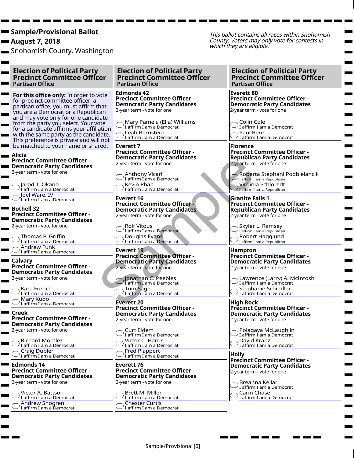August 7, 2018

Ħ.

Snohomish County, Washington

This ballot contains all races within Snohomish County. Voters may only vote for contests in which they are eligible.

#### Election of Political Party Precinct Committee Officer Partisan Office

For this office only: In order to vote for precinct committee officer, a partisan office, you must affirm that you are a Democrat or a Republican and may vote only for one candidate from the party you select. Your vote  $\blacksquare$ for a candidate affirms your affiliation with the same party as the candidate. This preference is private and will not be matched to your name or shared. and the second

Alicia Precinct Committee Officer - Democratic Party Candidates 2-year term - vote for one

Jarod T. Okano I affirm I am a Democrat Joel Ware, IV Due: www.c.c.com<br>I affirm I am a Democrat

Bothell 32 Precinct Committee Officer - Democratic Party Candidates 2-year term - vote for one

Thomas P. Griffin I affirm I am a Democrat Andrew Funk  $\cup$  I affirm I am a Democrat

**Calvary** Precinct Committee Officer - Democratic Party Candidates 2-year term - vote for one

> Kara French I affirm I am a Democrat Mary Kudo  $\supset$  ividity is used as Democration I am a Democration

■ lCreek Precinct Committee Officer - Democratic Party Candidates 2-year term - vote for one

Richard Moralez  $\bigcirc$  NG Rate of  $\mathcal{I}$  affirm I am a Democrat Craig Dupler I affirm I am a Democrat

Edmonds 14 Precinct Committee Officer - Democratic Party Candidates 2-year term - vote for one

Victor A. Battson  $\bigcirc$  is the section of  $\mathcal{I}$  affirm I am a Democrat Andrew Shogren I affirm I am a Democrat

Election of Political Party Precinct Committee Officer Partisan Office

Edmonds 42 Precinct Committee Officer - Democratic Party Candidates 2-year term - vote for one

Mary Pamela (Ella) Williams I affirm I am a Democrat Leah Bernstein  $\bigcup$  I affirm I am a Democrat

Everett 7 Precinct Committee Officer - Democratic Party Candidates 2-year term - vote for one

Anthony Vicari I affirm I am a Democrat Kevin Phan I affirm I am a Democrat

Everett 16 Precinct Committee Officer - Democratic Party Candidates 2-year term - vote for one Democratic Party Candidates<br>
2-year term - vote for one<br>
Candifform I am a Democrate<br>
Except 16<br>
Except 16<br>
Except 16<br>
Precinct Committee Officer<br>
2-year term - vote for one<br>
2-year term - vote for one<br>
Candidates<br>
2-year

Rolf Vitous I affirm I am a Democrat Douglas Evans  $\bigcup$  I affirm I am a Democrat

Everett 19 Precinct Committee Officer - Democratic Party Candidates 2-year term - vote for one

Jonathan C. Peebles I affirm I am a Democrat Tom Sage  $\bigcirc$  I affirm I am a Democrat

Everett 20 Precinct Committee Officer - Democratic Party Candidates 2-year term - vote for one

Curt Eidem I affirm I am a Democrat Victor C. Harris I affirm I am a Democrat Fred Plappert ) I i cu i iuppe:<br>I affirm I am <u>a Democrat</u>

Everett 76 Precinct Committee Officer - Democratic Party Candidates 2-year term - vote for one

Brett M. Miller I affirm I am a Democrat Chester Curtis I affirm I am a Democrat Election of Political Party Precinct Committee Officer Partisan Office

Everett 80 Precinct Committee Officer - Democratic Party Candidates 2-year term - vote for one

Colin Cole  $\bigcirc$  Compared and a Democration  $\bigcirc$  I affirm I am a Democration Paul Benz  $\cup$  I affirm I am a Democrat

Florence Precinct Committee Officer - Republican Party Candidates 2-year term - vote for one

Roberta Stephani Podbielancik I affirm I am a Republican Virginia Schloredt I affirm I am a Republican

Granite Falls 1 Precinct Committee Officer - Republican Party Candidates 2-year term - vote for one

Skyler L. Ramsey I affirm I am a Republican Robert Hagglund I affirm I am a Republican

**Hampton** Precinct Committee Officer - Democratic Party Candidates 2-year term - vote for one

Lawrence (Larry) A. McIntosh I affirm I am a Democrat Stephanie Schindler Discriming Sermans -<br>I affirm I am a Democrat

High Rock Precinct Committee Officer - Democratic Party Candidates 2-year term - vote for one

Polagaya McLaughlin I affirm I am a Democrat David Kranz I affirm I am a Democrat

**Holly** Precinct Committee Officer - Democratic Party Candidates 2-year term - vote for one

Breanna Kellar I affirm I am a Democrat Carin Chase I affirm I am a Democrat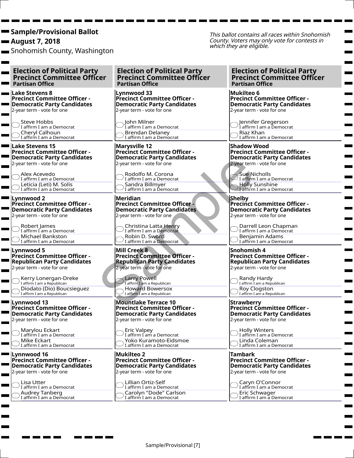August 7, 2018

Snohomish County, Washington

This ballot contains all races within Snohomish County. Voters may only vote for contests in which they are eligible.

Election of Political Party . Precinct Committee Officer Partisan Office Lake Stevens 8 Precinct Committee Officer - Democratic Party Candidates 2-year term - vote for one

Steve Hobbs  $\bigcap$  Justice Tropics<br>I affirm I am a Democrat Cheryl Calhoun  $\bigcup$  Liei yi Cambodi.<br>I affirm I am a Democrat

**The Co** 

Lake Stevens 15 Precinct Committee Officer - Democratic Party Candidates 2-year term - vote for one

Alex Acevedo  $\bigcup$  Tien *I* is  $\bigcup$  and  $\bigcup$  and  $\bigcup$  and  $\bigcup$  and  $\bigcup$   $\bigcup$   $\bigcup$   $\bigcup$   $\bigcup$   $\bigcup$   $\bigcup$   $\bigcup$   $\bigcup$   $\bigcup$   $\bigcup$   $\bigcup$   $\bigcup$   $\bigcup$   $\bigcup$   $\bigcup$   $\bigcup$   $\bigcup$   $\bigcup$   $\bigcup$   $\bigcup$   $\bigcup$   $\bigcup$   $\bigcup$   $\bigcup$   $\bigcup$   $\bigcup$  Leticia (Leti) M. Solis I affirm I am a Democrat

**Lynnwood 2** Precinct Committee Officer - Democratic Party Candidates 2-year term - vote for one

> Robert James I affirm I am a Democrat Michael Bankston  $\bigcup$  I affirm I am a Democrat

■ Lynnwood 5 Precinct Committee Officer - Republican Party Candidates 2-year term - vote for one

Kerry Lonergan-Dreke  $\bigcup$  I affirm I am a Republican Diodato (Dio) Boucsieguez I affirm I am a Republican

Lynnwood 13 Precinct Committee Officer - Democratic Party Candidates 2-year term - vote for one

Marylou Eckart I affirm I am a Democrat Mike Eckart  $\mathrm{I}$  I affirm I am a Democrat

Lynnwood 16 Precinct Committee Officer - Democratic Party Candidates 2-year term - vote for one

Lisa Utter  $\bigcirc$  Liba Ottor<br>I affirm I am a Democrat Audrey Tanberg  $\cup$  I affirm I am a Democrat Election of Political Party Precinct Committee Officer Partisan Office

Lynnwood 33 Precinct Committee Officer - Democratic Party Candidates 2-year term - vote for one

John Milner I affirm I am a Democrat Brendan Delaney  $\bigcup$  I affirm I am a Democrat

Marysville 12 Precinct Committee Officer - Democratic Party Candidates 2-year term - vote for one

Rodolfo M. Corona I affirm I am a Democrat Sandra Billmyer I affirm I am a Democrat

Meridian Precinct Committee Officer - Democratic Party Candidates 2-year term - vote for one Democratic Party Candidates<br>
2-year term - vote for one<br>
affirm I am a Democratic<br>
Sandra Billmyer<br>
Meridian<br>
Meridian and Bemocratic Party Candidates<br>
Precinct Committee Officer<br>
Precinct Committee Officer<br>
2-year term -

Christina Latta Henry I affirm I am a Democrat Robin D. Sword  $\bigcup$  I affirm I am a Democrat

Mill Creek 8 Precinct Committee Officer - Republican Party Candidates 2-year term - vote for one

Larry Powell I affirm I am a Republican Howard Bowersox I affirm I am a Republican

Mountlake Terrace 10 Precinct Committee Officer - Democratic Party Candidates 2-year term - vote for one

Eric Valpey I affirm I am a Democrat Yoko Kuramoto-Eidsmoe I affirm I am a Democrat

Mukilteo 2 Precinct Committee Officer - Democratic Party Candidates 2-year term - vote for one

Lillian Ortiz-Self  $\cup$  I affirm I am a Democrat Carolyn "Dode" Carlson I affirm I am a Democrat

Election of Political Party Precinct Committee Officer Partisan Office

Mukilteo 6 Precinct Committee Officer - Democratic Party Candidates 2-year term - vote for one

Jennifer Gregerson I affirm I am a Democrat Riaz Khan I affirm I am a Democrat

Shadow Wood Precinct Committee Officer - Democratic Party Candidates 2-year term - vote for one

Sue Nicholls *D* But Friending<br>I affirm I am a Democrat Holly Sunshine I affirm I am a Democrat

Shelby **Precinct Committee Officer -**Democratic Party Candidates 2-year term - vote for one

Darrell Leon Chapman I affirm I am a Democrat Benjamin Adams I affirm I am a Democrat

Snohomish 4 Precinct Committee Officer - Republican Party Candidates 2-year term - vote for one

Randy Hardy I affirm I am a Republican Roy Clogston I affirm I am a Republican

**Strawberry** Precinct Committee Officer - Democratic Party Candidates 2-year term - vote for one

Holly Winters I affirm I am a Democrat Linda Coleman I affirm I am a Democrat

Tambark Precinct Committee Officer - Democratic Party Candidates 2-year term - vote for one

Caryn O'Connor  $\cup$  I affirm I am a Democrat Eric Schwager I affirm I am a Democrat